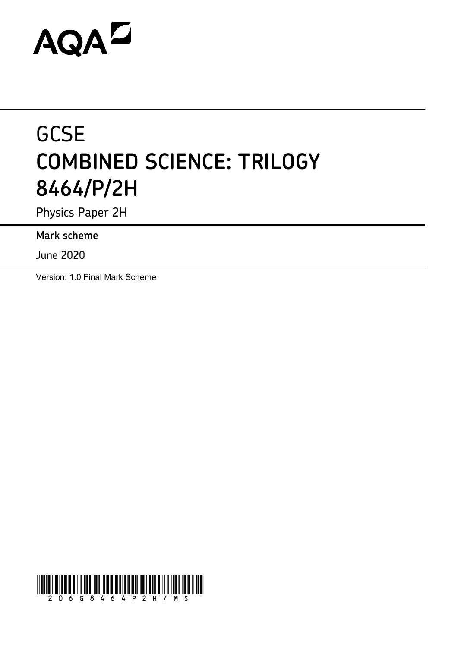# AQAZ

## **GCSE COMBINED SCIENCE: TRILOGY 8464/P/2H**

Physics Paper 2H

**Mark scheme**

June 2020

Version: 1.0 Final Mark Scheme

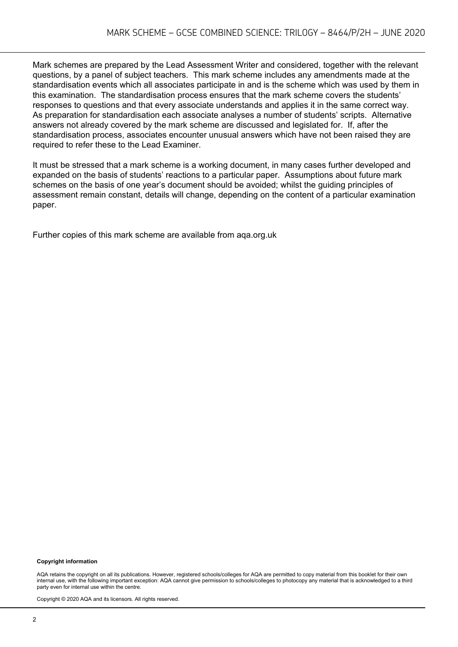Mark schemes are prepared by the Lead Assessment Writer and considered, together with the relevant questions, by a panel of subject teachers. This mark scheme includes any amendments made at the standardisation events which all associates participate in and is the scheme which was used by them in this examination. The standardisation process ensures that the mark scheme covers the students' responses to questions and that every associate understands and applies it in the same correct way. As preparation for standardisation each associate analyses a number of students' scripts. Alternative answers not already covered by the mark scheme are discussed and legislated for. If, after the standardisation process, associates encounter unusual answers which have not been raised they are required to refer these to the Lead Examiner.

It must be stressed that a mark scheme is a working document, in many cases further developed and expanded on the basis of students' reactions to a particular paper. Assumptions about future mark schemes on the basis of one year's document should be avoided; whilst the guiding principles of assessment remain constant, details will change, depending on the content of a particular examination paper.

Further copies of this mark scheme are available from aqa.org.uk

#### **Copyright information**

AQA retains the copyright on all its publications. However, registered schools/colleges for AQA are permitted to copy material from this booklet for their own internal use, with the following important exception: AQA cannot give permission to schools/colleges to photocopy any material that is acknowledged to a third party even for internal use within the centre.

Copyright © 2020 AQA and its licensors. All rights reserved.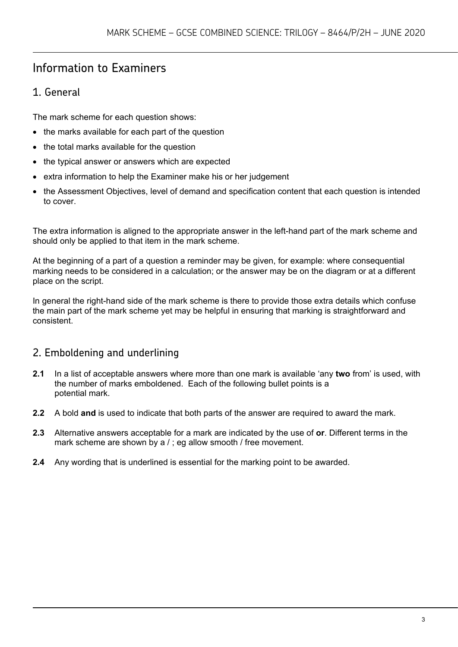### Information to Examiners

#### 1. General

The mark scheme for each question shows:

- the marks available for each part of the question
- the total marks available for the question
- the typical answer or answers which are expected
- extra information to help the Examiner make his or her judgement
- the Assessment Objectives, level of demand and specification content that each question is intended to cover.

The extra information is aligned to the appropriate answer in the left-hand part of the mark scheme and should only be applied to that item in the mark scheme.

At the beginning of a part of a question a reminder may be given, for example: where consequential marking needs to be considered in a calculation; or the answer may be on the diagram or at a different place on the script.

In general the right-hand side of the mark scheme is there to provide those extra details which confuse the main part of the mark scheme yet may be helpful in ensuring that marking is straightforward and consistent.

#### 2. Emboldening and underlining

- **2.1** In a list of acceptable answers where more than one mark is available 'any **two** from' is used, with the number of marks emboldened. Each of the following bullet points is a potential mark.
- **2.2** A bold **and** is used to indicate that both parts of the answer are required to award the mark.
- **2.3** Alternative answers acceptable for a mark are indicated by the use of **or**. Different terms in the mark scheme are shown by a / ; eg allow smooth / free movement.
- **2.4** Any wording that is underlined is essential for the marking point to be awarded.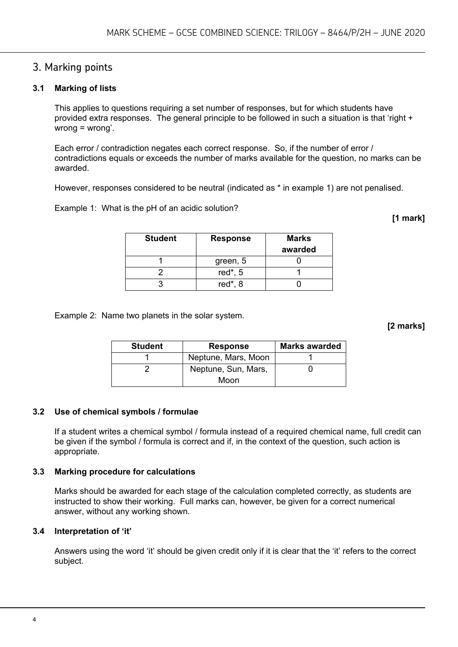#### 3. Marking points

#### **3.1 Marking of lists**

This applies to questions requiring a set number of responses, but for which students have provided extra responses. The general principle to be followed in such a situation is that 'right + wrong = wrong'.

Each error / contradiction negates each correct response. So, if the number of error / contradictions equals or exceeds the number of marks available for the question, no marks can be awarded.

However, responses considered to be neutral (indicated as \* in example 1) are not penalised.

Example 1: What is the pH of an acidic solution?

**[1 mark]**

| <b>Student</b> | <b>Response</b> | <b>Marks</b><br>awarded |
|----------------|-----------------|-------------------------|
|                | green, 5        |                         |
|                | red $*$ , 5     |                         |
|                | red $*$ , 8     |                         |

Example 2: Name two planets in the solar system.

**[2 marks]**

| <b>Student</b> | <b>Response</b>     | <b>Marks awarded</b> |
|----------------|---------------------|----------------------|
|                | Neptune, Mars, Moon |                      |
|                | Neptune, Sun, Mars, |                      |
|                | Moon                |                      |

#### **3.2 Use of chemical symbols / formulae**

If a student writes a chemical symbol / formula instead of a required chemical name, full credit can be given if the symbol / formula is correct and if, in the context of the question, such action is appropriate.

#### **3.3 Marking procedure for calculations**

Marks should be awarded for each stage of the calculation completed correctly, as students are instructed to show their working. Full marks can, however, be given for a correct numerical answer, without any working shown.

#### **3.4 Interpretation of 'it'**

Answers using the word 'it' should be given credit only if it is clear that the 'it' refers to the correct subject.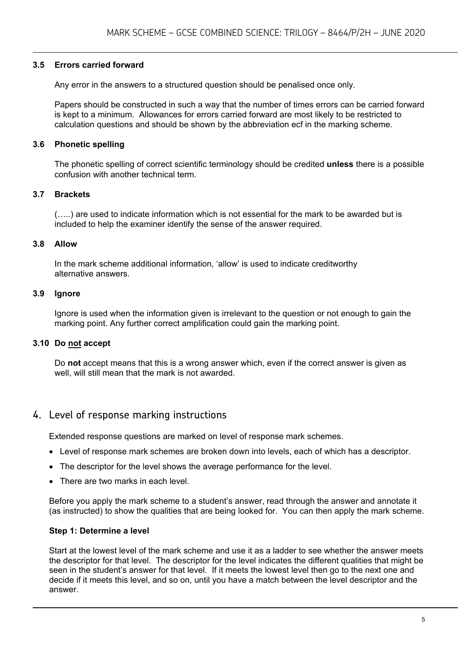#### **3.5 Errors carried forward**

Any error in the answers to a structured question should be penalised once only.

Papers should be constructed in such a way that the number of times errors can be carried forward is kept to a minimum. Allowances for errors carried forward are most likely to be restricted to calculation questions and should be shown by the abbreviation ecf in the marking scheme.

#### **3.6 Phonetic spelling**

The phonetic spelling of correct scientific terminology should be credited **unless** there is a possible confusion with another technical term.

#### **3.7 Brackets**

(…..) are used to indicate information which is not essential for the mark to be awarded but is included to help the examiner identify the sense of the answer required.

#### **3.8 Allow**

In the mark scheme additional information, 'allow' is used to indicate creditworthy alternative answers.

#### **3.9 Ignore**

Ignore is used when the information given is irrelevant to the question or not enough to gain the marking point. Any further correct amplification could gain the marking point.

#### **3.10 Do not accept**

Do **not** accept means that this is a wrong answer which, even if the correct answer is given as well, will still mean that the mark is not awarded.

#### 4. Level of response marking instructions

Extended response questions are marked on level of response mark schemes.

- Level of response mark schemes are broken down into levels, each of which has a descriptor.
- The descriptor for the level shows the average performance for the level.
- There are two marks in each level

Before you apply the mark scheme to a student's answer, read through the answer and annotate it (as instructed) to show the qualities that are being looked for. You can then apply the mark scheme.

#### **Step 1: Determine a level**

Start at the lowest level of the mark scheme and use it as a ladder to see whether the answer meets the descriptor for that level. The descriptor for the level indicates the different qualities that might be seen in the student's answer for that level. If it meets the lowest level then go to the next one and decide if it meets this level, and so on, until you have a match between the level descriptor and the answer.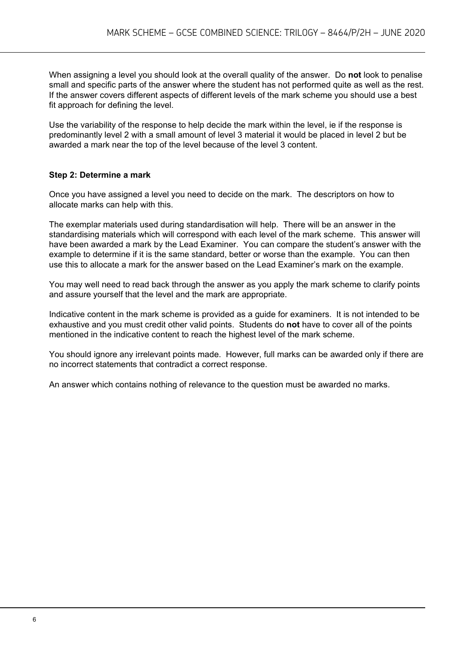When assigning a level you should look at the overall quality of the answer. Do **not** look to penalise small and specific parts of the answer where the student has not performed quite as well as the rest. If the answer covers different aspects of different levels of the mark scheme you should use a best fit approach for defining the level.

Use the variability of the response to help decide the mark within the level, ie if the response is predominantly level 2 with a small amount of level 3 material it would be placed in level 2 but be awarded a mark near the top of the level because of the level 3 content.

#### **Step 2: Determine a mark**

Once you have assigned a level you need to decide on the mark. The descriptors on how to allocate marks can help with this.

The exemplar materials used during standardisation will help. There will be an answer in the standardising materials which will correspond with each level of the mark scheme. This answer will have been awarded a mark by the Lead Examiner. You can compare the student's answer with the example to determine if it is the same standard, better or worse than the example. You can then use this to allocate a mark for the answer based on the Lead Examiner's mark on the example.

You may well need to read back through the answer as you apply the mark scheme to clarify points and assure yourself that the level and the mark are appropriate.

Indicative content in the mark scheme is provided as a guide for examiners. It is not intended to be exhaustive and you must credit other valid points. Students do **not** have to cover all of the points mentioned in the indicative content to reach the highest level of the mark scheme.

You should ignore any irrelevant points made. However, full marks can be awarded only if there are no incorrect statements that contradict a correct response.

An answer which contains nothing of relevance to the question must be awarded no marks.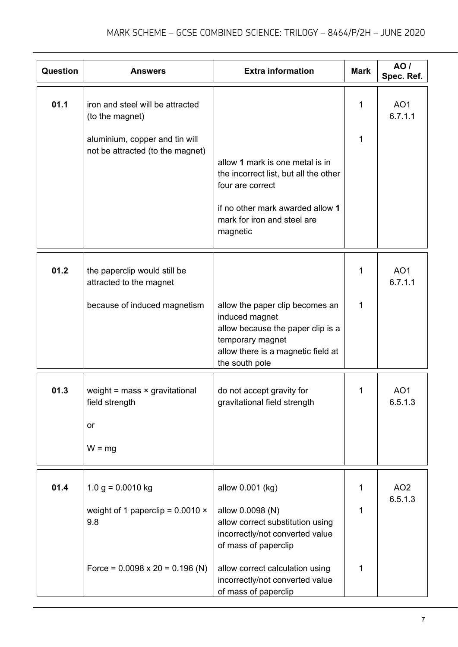| Question | <b>Answers</b>                                                           | <b>Extra information</b>                                                                                                                                                    | <b>Mark</b> | AO /<br>Spec. Ref.         |
|----------|--------------------------------------------------------------------------|-----------------------------------------------------------------------------------------------------------------------------------------------------------------------------|-------------|----------------------------|
| 01.1     | iron and steel will be attracted<br>(to the magnet)                      |                                                                                                                                                                             | 1           | AO <sub>1</sub><br>6.7.1.1 |
|          | aluminium, copper and tin will<br>not be attracted (to the magnet)       | allow 1 mark is one metal is in<br>the incorrect list, but all the other<br>four are correct<br>if no other mark awarded allow 1<br>mark for iron and steel are<br>magnetic | 1           |                            |
| 01.2     | the paperclip would still be<br>attracted to the magnet                  |                                                                                                                                                                             | 1           | AO <sub>1</sub><br>6.7.1.1 |
|          | because of induced magnetism                                             | allow the paper clip becomes an<br>induced magnet<br>allow because the paper clip is a<br>temporary magnet<br>allow there is a magnetic field at<br>the south pole          | 1           |                            |
| 01.3     | weight = $mass \times gravitational$<br>field strength<br>or<br>$W = mg$ | do not accept gravity for<br>gravitational field strength                                                                                                                   | 1           | AO <sub>1</sub><br>6.5.1.3 |
| 01.4     | $1.0 g = 0.0010 kg$<br>weight of 1 paperclip = $0.0010 \times$<br>9.8    | allow 0.001 (kg)<br>allow 0.0098 (N)<br>allow correct substitution using<br>incorrectly/not converted value<br>of mass of paperclip                                         | 1<br>1      | AO <sub>2</sub><br>6.5.1.3 |
|          | Force = $0.0098 \times 20 = 0.196$ (N)                                   | allow correct calculation using<br>incorrectly/not converted value<br>of mass of paperclip                                                                                  | 1           |                            |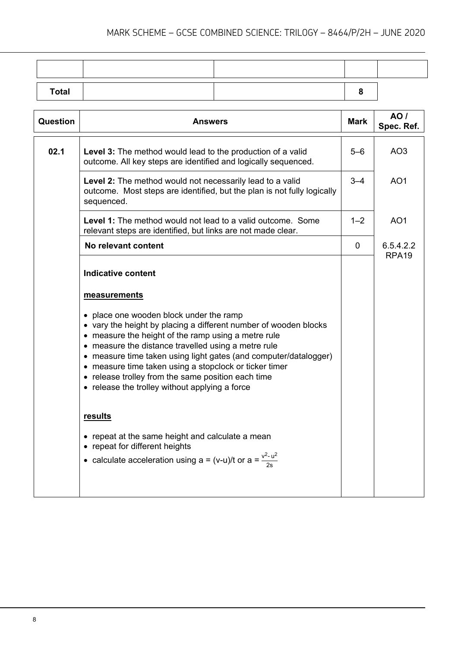| <b>Total</b> |  |  |
|--------------|--|--|
|              |  |  |

| Question | <b>Answers</b>                                                                                                                                                                                                                                                                                                                                                                                                                                                  | <b>Mark</b> | AO/<br>Spec. Ref.              |
|----------|-----------------------------------------------------------------------------------------------------------------------------------------------------------------------------------------------------------------------------------------------------------------------------------------------------------------------------------------------------------------------------------------------------------------------------------------------------------------|-------------|--------------------------------|
| 02.1     | <b>Level 3:</b> The method would lead to the production of a valid<br>outcome. All key steps are identified and logically sequenced.                                                                                                                                                                                                                                                                                                                            | $5-6$       | AO <sub>3</sub>                |
|          | Level 2: The method would not necessarily lead to a valid<br>outcome. Most steps are identified, but the plan is not fully logically<br>sequenced.                                                                                                                                                                                                                                                                                                              | $3 - 4$     | AO <sub>1</sub>                |
|          | <b>Level 1:</b> The method would not lead to a valid outcome. Some<br>relevant steps are identified, but links are not made clear.                                                                                                                                                                                                                                                                                                                              | $1 - 2$     | AO <sub>1</sub>                |
|          | No relevant content                                                                                                                                                                                                                                                                                                                                                                                                                                             | $\mathbf 0$ | 6.5.4.2.2<br>RPA <sub>19</sub> |
|          | <b>Indicative content</b>                                                                                                                                                                                                                                                                                                                                                                                                                                       |             |                                |
|          | measurements                                                                                                                                                                                                                                                                                                                                                                                                                                                    |             |                                |
|          | • place one wooden block under the ramp<br>• vary the height by placing a different number of wooden blocks<br>• measure the height of the ramp using a metre rule<br>• measure the distance travelled using a metre rule<br>• measure time taken using light gates (and computer/datalogger)<br>• measure time taken using a stopclock or ticker timer<br>• release trolley from the same position each time<br>• release the trolley without applying a force |             |                                |
|          | results<br>• repeat at the same height and calculate a mean<br>• repeat for different heights<br>• calculate acceleration using a = (v-u)/t or a = $\frac{v^2 - u^2}{2a}$                                                                                                                                                                                                                                                                                       |             |                                |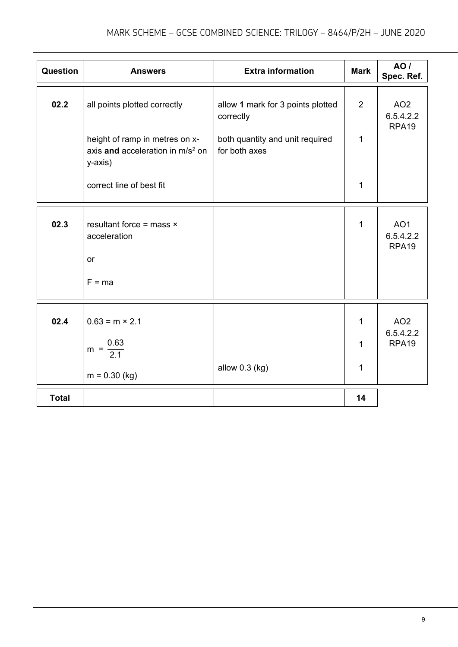| Question     | <b>Answers</b>                                                                            | <b>Extra information</b>                         | <b>Mark</b>  | AO /<br>Spec. Ref.                                |
|--------------|-------------------------------------------------------------------------------------------|--------------------------------------------------|--------------|---------------------------------------------------|
| 02.2         | all points plotted correctly                                                              | allow 1 mark for 3 points plotted<br>correctly   | 2            | AO <sub>2</sub><br>6.5.4.2.2<br>RPA <sub>19</sub> |
|              | height of ramp in metres on x-<br>axis and acceleration in m/s <sup>2</sup> on<br>y-axis) | both quantity and unit required<br>for both axes | 1            |                                                   |
|              | correct line of best fit                                                                  |                                                  | 1            |                                                   |
| 02.3         | resultant force = mass $\times$<br>acceleration<br>or<br>$F = ma$                         |                                                  | $\mathbf{1}$ | AO <sub>1</sub><br>6.5.4.2.2<br>RPA <sub>19</sub> |
| 02.4         | $0.63 = m \times 2.1$<br>$m = \frac{0.63}{2.1}$<br>$m = 0.30$ (kg)                        | allow 0.3 (kg)                                   | 1<br>1<br>1  | AO <sub>2</sub><br>6.5.4.2.2<br>RPA <sub>19</sub> |
| <b>Total</b> |                                                                                           |                                                  | 14           |                                                   |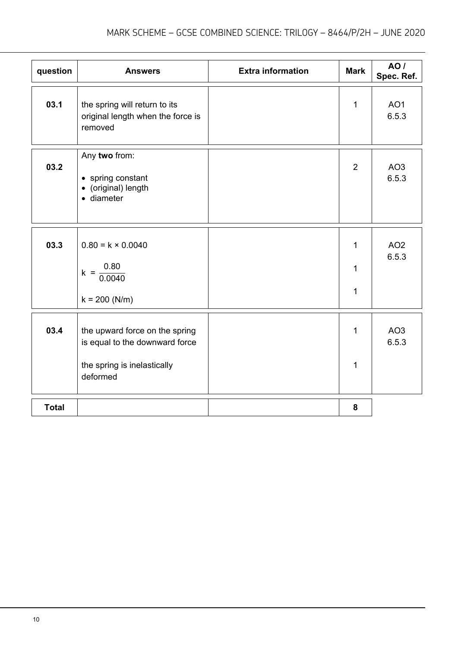| question     | <b>Answers</b>                                                                                              | <b>Extra information</b> | <b>Mark</b>                                  | AO /<br>Spec. Ref.       |
|--------------|-------------------------------------------------------------------------------------------------------------|--------------------------|----------------------------------------------|--------------------------|
| 03.1         | the spring will return to its<br>original length when the force is<br>removed                               |                          | $\mathbf{1}$                                 | AO <sub>1</sub><br>6.5.3 |
| 03.2         | Any two from:<br>• spring constant<br>• (original) length<br>· diameter                                     |                          | $\overline{2}$                               | AO <sub>3</sub><br>6.5.3 |
| 03.3         | $0.80 = k \times 0.0040$<br>$k = \frac{0.80}{0.0040}$<br>$k = 200 (N/m)$                                    |                          | $\mathbf{1}$<br>$\mathbf{1}$<br>$\mathbf{1}$ | AO <sub>2</sub><br>6.5.3 |
| 03.4         | the upward force on the spring<br>is equal to the downward force<br>the spring is inelastically<br>deformed |                          | 1<br>$\mathbf{1}$                            | AO <sub>3</sub><br>6.5.3 |
| <b>Total</b> |                                                                                                             |                          | 8                                            |                          |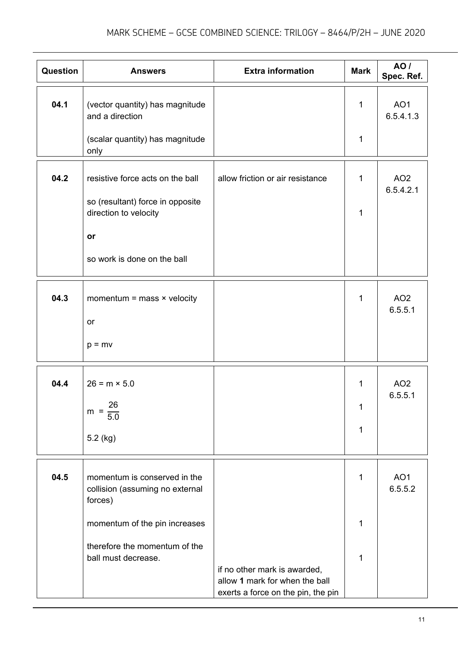| Question | <b>Answers</b>                                                             | <b>Extra information</b>                                       | <b>Mark</b>  | <b>AO</b> /<br>Spec. Ref.    |
|----------|----------------------------------------------------------------------------|----------------------------------------------------------------|--------------|------------------------------|
| 04.1     | (vector quantity) has magnitude<br>and a direction                         |                                                                | 1            | AO <sub>1</sub><br>6.5.4.1.3 |
|          | (scalar quantity) has magnitude<br>only                                    |                                                                | 1            |                              |
| 04.2     | resistive force acts on the ball                                           | allow friction or air resistance                               | 1            | AO <sub>2</sub><br>6.5.4.2.1 |
|          | so (resultant) force in opposite<br>direction to velocity                  |                                                                | 1            |                              |
|          | or                                                                         |                                                                |              |                              |
|          | so work is done on the ball                                                |                                                                |              |                              |
| 04.3     | momentum = mass $\times$ velocity                                          |                                                                | 1            | AO <sub>2</sub><br>6.5.5.1   |
|          | <b>or</b>                                                                  |                                                                |              |                              |
|          | $p = mv$                                                                   |                                                                |              |                              |
| 04.4     | $26 = m \times 5.0$                                                        |                                                                | $\mathbf{1}$ | AO <sub>2</sub><br>6.5.5.1   |
|          | 26<br>$m =$<br>$\overline{5.0}$                                            |                                                                | 1            |                              |
|          | $5.2$ (kg)                                                                 |                                                                | 1            |                              |
| 04.5     | momentum is conserved in the<br>collision (assuming no external<br>forces) |                                                                | 1            | AO <sub>1</sub><br>6.5.5.2   |
|          | momentum of the pin increases                                              |                                                                | 1            |                              |
|          | therefore the momentum of the<br>ball must decrease.                       | if no other mark is awarded,<br>allow 1 mark for when the ball | 1            |                              |
|          |                                                                            | exerts a force on the pin, the pin                             |              |                              |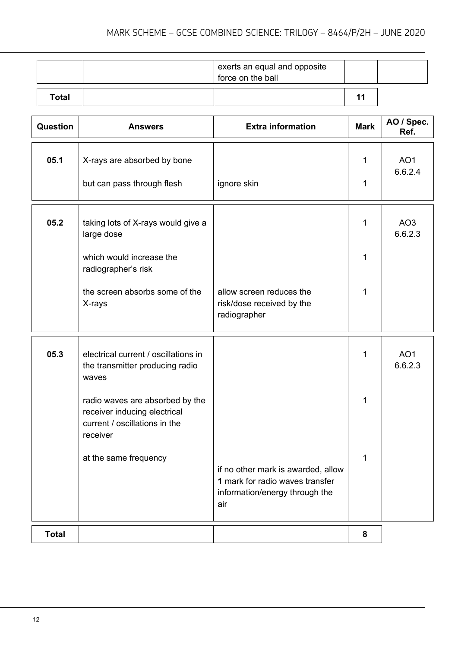|       | exerts an equal and opposite<br>force on the ball |  |
|-------|---------------------------------------------------|--|
| Total |                                                   |  |

| <b>Question</b> | <b>Answers</b>                                                                                                                        | <b>Extra information</b>                                                                                       | <b>Mark</b> | AO / Spec.<br>Ref.         |
|-----------------|---------------------------------------------------------------------------------------------------------------------------------------|----------------------------------------------------------------------------------------------------------------|-------------|----------------------------|
| 05.1            | X-rays are absorbed by bone<br>but can pass through flesh                                                                             | ignore skin                                                                                                    | 1<br>1      | AO <sub>1</sub><br>6.6.2.4 |
| 05.2            | taking lots of X-rays would give a<br>large dose<br>which would increase the<br>radiographer's risk<br>the screen absorbs some of the | allow screen reduces the                                                                                       | 1<br>1<br>1 | AO <sub>3</sub><br>6.6.2.3 |
|                 | X-rays                                                                                                                                | risk/dose received by the<br>radiographer                                                                      |             |                            |
| 05.3            | electrical current / oscillations in<br>the transmitter producing radio<br>waves                                                      |                                                                                                                | 1           | AO <sub>1</sub><br>6.6.2.3 |
|                 | radio waves are absorbed by the<br>receiver inducing electrical<br>current / oscillations in the<br>receiver                          |                                                                                                                | 1           |                            |
|                 | at the same frequency                                                                                                                 | if no other mark is awarded, allow<br>1 mark for radio waves transfer<br>information/energy through the<br>air | 1           |                            |
| <b>Total</b>    |                                                                                                                                       |                                                                                                                | 8           |                            |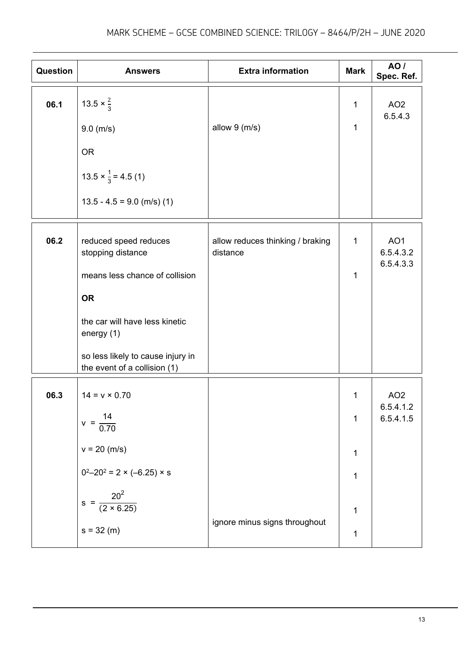| <b>Question</b> | <b>Answers</b>                                                                                                                                                                                                 | <b>Extra information</b>                     | <b>Mark</b>                                                                  | AO /<br>Spec. Ref.                        |
|-----------------|----------------------------------------------------------------------------------------------------------------------------------------------------------------------------------------------------------------|----------------------------------------------|------------------------------------------------------------------------------|-------------------------------------------|
| 06.1            | 13.5 $\times \frac{2}{3}$<br>9.0 (m/s)                                                                                                                                                                         | allow $9 \ (m/s)$                            | $\mathbf{1}$<br>$\mathbf 1$                                                  | AO <sub>2</sub><br>6.5.4.3                |
|                 | <b>OR</b><br>$13.5 \times \frac{1}{3} = 4.5$ (1)<br>$13.5 - 4.5 = 9.0$ (m/s) (1)                                                                                                                               |                                              |                                                                              |                                           |
| 06.2            | reduced speed reduces<br>stopping distance<br>means less chance of collision<br><b>OR</b><br>the car will have less kinetic<br>energy (1)<br>so less likely to cause injury in<br>the event of a collision (1) | allow reduces thinking / braking<br>distance | $\mathbf 1$<br>$\mathbf{1}$                                                  | AO <sub>1</sub><br>6.5.4.3.2<br>6.5.4.3.3 |
| 06.3            | $14 = v \times 0.70$<br>$v = \frac{14}{0.70}$<br>$v = 20$ (m/s)<br>$0^2 - 20^2 = 2 \times (-6.25) \times s$<br>$s = \frac{20^2}{(2 \times 6.25)}$<br>$s = 32 (m)$                                              | ignore minus signs throughout                | $\mathbf 1$<br>$\mathbf 1$<br>$\mathbf 1$<br>$\mathbf 1$<br>$\mathbf 1$<br>1 | AO <sub>2</sub><br>6.5.4.1.2<br>6.5.4.1.5 |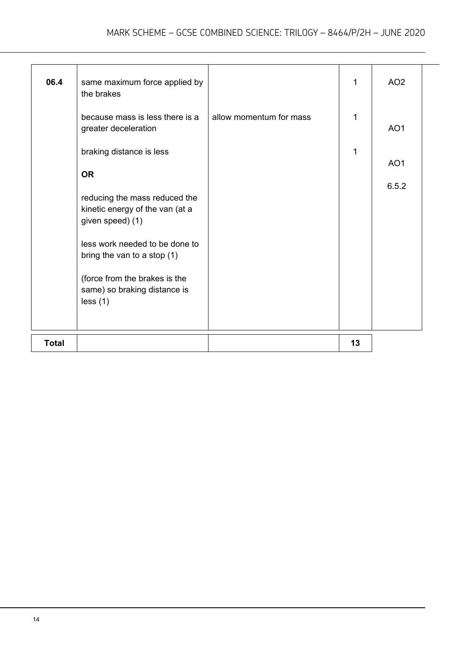| 06.4         | same maximum force applied by<br>the brakes                                          |                         | 1  | AO <sub>2</sub> |
|--------------|--------------------------------------------------------------------------------------|-------------------------|----|-----------------|
|              | because mass is less there is a<br>greater deceleration                              | allow momentum for mass | 1  | AO <sub>1</sub> |
|              | braking distance is less<br><b>OR</b>                                                |                         | 1  | AO <sub>1</sub> |
|              | reducing the mass reduced the<br>kinetic energy of the van (at a<br>given speed) (1) |                         |    | 6.5.2           |
|              | less work needed to be done to<br>bring the van to a stop $(1)$                      |                         |    |                 |
|              | (force from the brakes is the<br>same) so braking distance is<br>less(1)             |                         |    |                 |
| <b>Total</b> |                                                                                      |                         | 13 |                 |